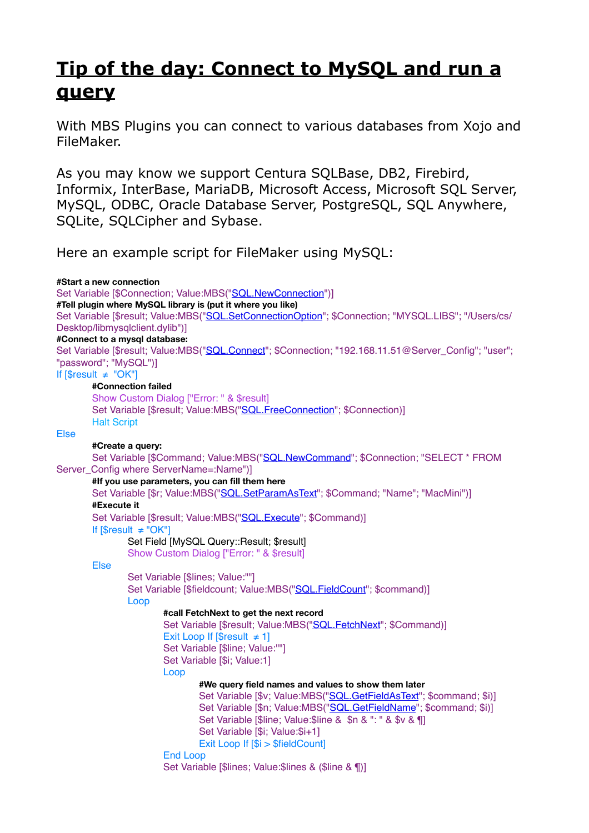## **[Tip of the day: Connect to MySQL and run a](https://www.mbsplugins.de/archive/2017-02-07/Tip_of_the_day_Connect_to_MySQ)  [query](https://www.mbsplugins.de/archive/2017-02-07/Tip_of_the_day_Connect_to_MySQ)**

With MBS Plugins you can connect to various databases from Xojo and FileMaker.

As you may know we support Centura SQLBase, DB2, Firebird, Informix, InterBase, MariaDB, Microsoft Access, Microsoft SQL Server, MySQL, ODBC, Oracle Database Server, PostgreSQL, SQL Anywhere, SQLite, SQLCipher and Sybase.

Here an example script for FileMaker using MySQL:

**#Start a new connection** Set Variable [\$Connection; Value:MBS(["SQL.NewConnection](http://www.mbsplugins.eu/SQLNewConnection.shtml)")] **#Tell plugin where MySQL library is (put it where you like)** Set Variable [\$result; Value:MBS(["SQL.SetConnectionOption"](http://www.mbsplugins.eu/SQLSetConnectionOption.shtml); \$Connection; "MYSQL.LIBS"; "/Users/cs/ Desktop/libmysqlclient.dylib")] **#Connect to a mysql database:** Set Variable [\$result; Value:MBS(["SQL.Connect](http://www.mbsplugins.eu/SQLConnect.shtml)"; \$Connection; "192.168.11.51@Server\_Config"; "user"; "password"; "MySQL")] If [\$result ≠ "OK"] **#Connection failed** Show Custom Dialog ["Error: " & \$result] Set Variable [\$result: Value:MBS(["SQL.FreeConnection"](http://www.mbsplugins.eu/SQLFreeConnection.shtml): \$Connection)] Halt Script Else **#Create a query:** Set Variable [\$Command; Value:MBS(["SQL.NewCommand](http://www.mbsplugins.eu/SQLNewCommand.shtml)"; \$Connection; "SELECT \* FROM Server\_Config where ServerName=:Name")] **#If you use parameters, you can fill them here** Set Variable [\$r; Value:MBS("[SQL.SetParamAsText](http://www.mbsplugins.eu/SQLSetParamAsText.shtml)"; \$Command; "Name"; "MacMini")] **#Execute it** Set Variable [\$result; Value:MBS(["SQL.Execute"](http://www.mbsplugins.eu/SQLExecute.shtml); \$Command)] If [\$result ≠ "OK"] Set Field [MySQL Query::Result; \$result] Show Custom Dialog ["Error: " & \$result] Else Set Variable [\$lines; Value:""] Set Variable [\$fieldcount; Value:MBS(["SQL.FieldCount](http://www.mbsplugins.eu/SQLFieldCount.shtml)"; \$command)] Loop **#call FetchNext to get the next record** Set Variable [\$result; Value:MBS(["SQL.FetchNext](http://www.mbsplugins.eu/SQLFetchNext.shtml)"; \$Command)] Exit Loop If  $[$result \neq 1]$ Set Variable [\$line; Value:""] Set Variable [\$i; Value:1] Loop **#We query field names and values to show them later** Set Variable [\$v; Value:MBS(["SQL.GetFieldAsText](http://www.mbsplugins.eu/SQLGetFieldAsText.shtml)"; \$command; \$i)] Set Variable [\$n; Value:MBS(["SQL.GetFieldName](http://www.mbsplugins.eu/SQLGetFieldName.shtml)"; \$command; \$i)] Set Variable [\$line; Value:\$line & \$n & ": " & \$v & ¶] Set Variable [\$i; Value:\$i+1] Exit Loop If [\$i > \$fieldCount] End Loop Set Variable [\$lines; Value:\$lines & (\$line & ¶)]